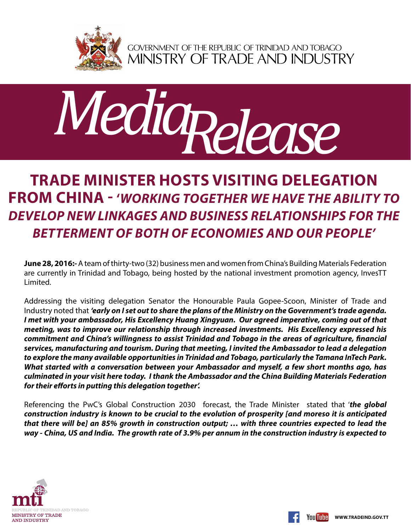

GOVERNMENT OF THE REPUBLIC OF TRINIDAD AND TOBAGO<br>MINISTRY OF TRADE AND INDUSTRY



## **Trade Minister hosts visiting delegation from China - '***Working together we have the ability to develop new linkages and business relationships for the betterment of both of economies and our people'*

**June 28, 2016:-**A team of thirty-two (32) business men and women from China's Building Materials Federation are currently in Trinidad and Tobago, being hosted by the national investment promotion agency, InvesTT Limited.

Addressing the visiting delegation Senator the Honourable Paula Gopee-Scoon, Minister of Trade and Industry noted that *'early on I set out to share the plans of the Ministry on the Government's trade agenda. I met with your ambassador, His Excellency Huang Xingyuan. Our agreed imperative, coming out of that meeting, was to improve our relationship through increased investments. His Excellency expressed his commitment and China's willingness to assist Trinidad and Tobago in the areas of agriculture, financial services, manufacturing and tourism. During that meeting, I invited the Ambassador to lead a delegation to explore the many available opportunities in Trinidad and Tobago, particularly the Tamana InTech Park. What started with a conversation between your Ambassador and myself, a few short months ago, has culminated in your visit here today. I thank the Ambassador and the China Building Materials Federation for their efforts in putting this delegation together'.* 

Referencing the PwC's Global Construction 2030 forecast, the Trade Minister stated that '*the global construction industry is known to be crucial to the evolution of prosperity [and moreso it is anticipated that there will be] an 85% growth in construction output; … with three countries expected to lead the way - China, US and India. The growth rate of 3.9% per annum in the construction industry is expected to*